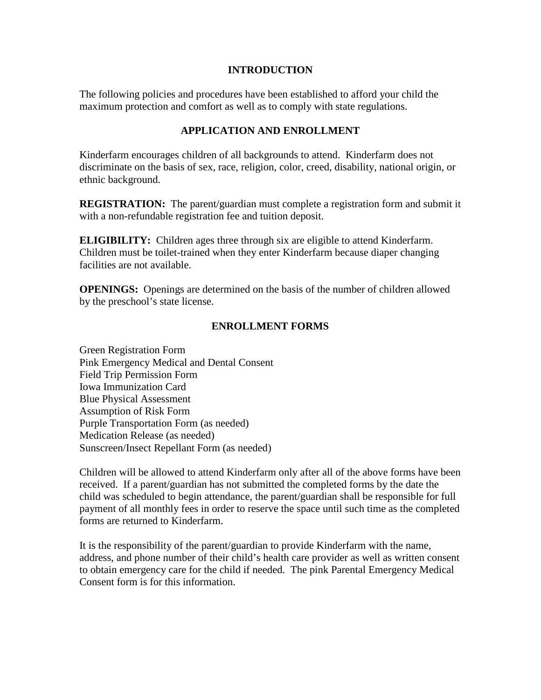#### **INTRODUCTION**

The following policies and procedures have been established to afford your child the maximum protection and comfort as well as to comply with state regulations.

#### **APPLICATION AND ENROLLMENT**

Kinderfarm encourages children of all backgrounds to attend. Kinderfarm does not discriminate on the basis of sex, race, religion, color, creed, disability, national origin, or ethnic background.

**REGISTRATION:** The parent/guardian must complete a registration form and submit it with a non-refundable registration fee and tuition deposit.

**ELIGIBILITY:** Children ages three through six are eligible to attend Kinderfarm. Children must be toilet-trained when they enter Kinderfarm because diaper changing facilities are not available.

**OPENINGS:** Openings are determined on the basis of the number of children allowed by the preschool's state license.

## **ENROLLMENT FORMS**

Green Registration Form Pink Emergency Medical and Dental Consent Field Trip Permission Form Iowa Immunization Card Blue Physical Assessment Assumption of Risk Form Purple Transportation Form (as needed) Medication Release (as needed) Sunscreen/Insect Repellant Form (as needed)

Children will be allowed to attend Kinderfarm only after all of the above forms have been received. If a parent/guardian has not submitted the completed forms by the date the child was scheduled to begin attendance, the parent/guardian shall be responsible for full payment of all monthly fees in order to reserve the space until such time as the completed forms are returned to Kinderfarm.

It is the responsibility of the parent/guardian to provide Kinderfarm with the name, address, and phone number of their child's health care provider as well as written consent to obtain emergency care for the child if needed. The pink Parental Emergency Medical Consent form is for this information.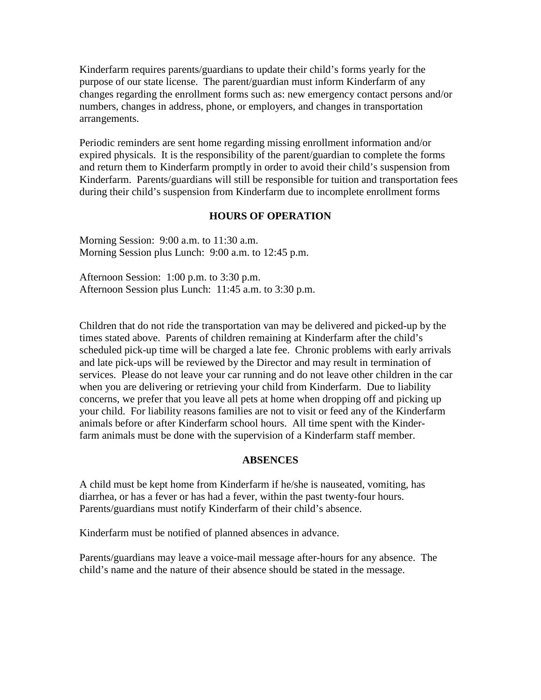Kinderfarm requires parents/guardians to update their child's forms yearly for the purpose of our state license. The parent/guardian must inform Kinderfarm of any changes regarding the enrollment forms such as: new emergency contact persons and/or numbers, changes in address, phone, or employers, and changes in transportation arrangements.

Periodic reminders are sent home regarding missing enrollment information and/or expired physicals. It is the responsibility of the parent/guardian to complete the forms and return them to Kinderfarm promptly in order to avoid their child's suspension from Kinderfarm. Parents/guardians will still be responsible for tuition and transportation fees during their child's suspension from Kinderfarm due to incomplete enrollment forms

#### **HOURS OF OPERATION**

Morning Session: 9:00 a.m. to 11:30 a.m. Morning Session plus Lunch: 9:00 a.m. to 12:45 p.m.

Afternoon Session: 1:00 p.m. to 3:30 p.m. Afternoon Session plus Lunch: 11:45 a.m. to 3:30 p.m.

Children that do not ride the transportation van may be delivered and picked-up by the times stated above. Parents of children remaining at Kinderfarm after the child's scheduled pick-up time will be charged a late fee. Chronic problems with early arrivals and late pick-ups will be reviewed by the Director and may result in termination of services. Please do not leave your car running and do not leave other children in the car when you are delivering or retrieving your child from Kinderfarm. Due to liability concerns, we prefer that you leave all pets at home when dropping off and picking up your child. For liability reasons families are not to visit or feed any of the Kinderfarm animals before or after Kinderfarm school hours. All time spent with the Kinderfarm animals must be done with the supervision of a Kinderfarm staff member.

#### **ABSENCES**

A child must be kept home from Kinderfarm if he/she is nauseated, vomiting, has diarrhea, or has a fever or has had a fever, within the past twenty-four hours. Parents/guardians must notify Kinderfarm of their child's absence.

Kinderfarm must be notified of planned absences in advance.

Parents/guardians may leave a voice-mail message after-hours for any absence. The child's name and the nature of their absence should be stated in the message.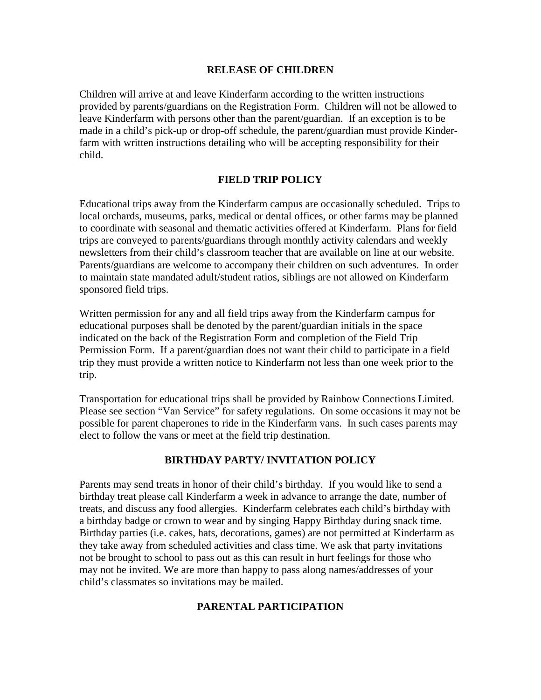#### **RELEASE OF CHILDREN**

Children will arrive at and leave Kinderfarm according to the written instructions provided by parents/guardians on the Registration Form. Children will not be allowed to leave Kinderfarm with persons other than the parent/guardian. If an exception is to be made in a child's pick-up or drop-off schedule, the parent/guardian must provide Kinderfarm with written instructions detailing who will be accepting responsibility for their child.

#### **FIELD TRIP POLICY**

Educational trips away from the Kinderfarm campus are occasionally scheduled. Trips to local orchards, museums, parks, medical or dental offices, or other farms may be planned to coordinate with seasonal and thematic activities offered at Kinderfarm. Plans for field trips are conveyed to parents/guardians through monthly activity calendars and weekly newsletters from their child's classroom teacher that are available on line at our website. Parents/guardians are welcome to accompany their children on such adventures. In order to maintain state mandated adult/student ratios, siblings are not allowed on Kinderfarm sponsored field trips.

Written permission for any and all field trips away from the Kinderfarm campus for educational purposes shall be denoted by the parent/guardian initials in the space indicated on the back of the Registration Form and completion of the Field Trip Permission Form. If a parent/guardian does not want their child to participate in a field trip they must provide a written notice to Kinderfarm not less than one week prior to the trip.

Transportation for educational trips shall be provided by Rainbow Connections Limited. Please see section "Van Service" for safety regulations. On some occasions it may not be possible for parent chaperones to ride in the Kinderfarm vans. In such cases parents may elect to follow the vans or meet at the field trip destination.

## **BIRTHDAY PARTY/ INVITATION POLICY**

Parents may send treats in honor of their child's birthday. If you would like to send a birthday treat please call Kinderfarm a week in advance to arrange the date, number of treats, and discuss any food allergies. Kinderfarm celebrates each child's birthday with a birthday badge or crown to wear and by singing Happy Birthday during snack time. Birthday parties (i.e. cakes, hats, decorations, games) are not permitted at Kinderfarm as they take away from scheduled activities and class time. We ask that party invitations not be brought to school to pass out as this can result in hurt feelings for those who may not be invited. We are more than happy to pass along names/addresses of your child's classmates so invitations may be mailed.

## **PARENTAL PARTICIPATION**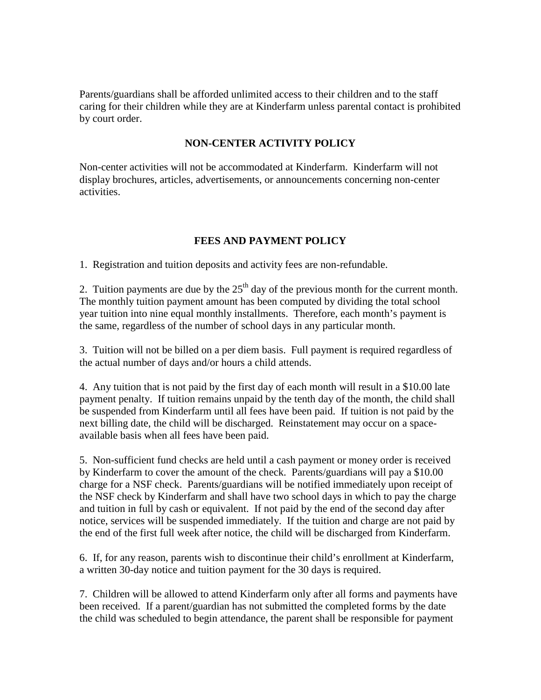Parents/guardians shall be afforded unlimited access to their children and to the staff caring for their children while they are at Kinderfarm unless parental contact is prohibited by court order.

## **NON-CENTER ACTIVITY POLICY**

Non-center activities will not be accommodated at Kinderfarm. Kinderfarm will not display brochures, articles, advertisements, or announcements concerning non-center activities.

# **FEES AND PAYMENT POLICY**

1. Registration and tuition deposits and activity fees are non-refundable.

2. Tuition payments are due by the  $25<sup>th</sup>$  day of the previous month for the current month. The monthly tuition payment amount has been computed by dividing the total school year tuition into nine equal monthly installments. Therefore, each month's payment is the same, regardless of the number of school days in any particular month.

3. Tuition will not be billed on a per diem basis. Full payment is required regardless of the actual number of days and/or hours a child attends.

4. Any tuition that is not paid by the first day of each month will result in a \$10.00 late payment penalty. If tuition remains unpaid by the tenth day of the month, the child shall be suspended from Kinderfarm until all fees have been paid. If tuition is not paid by the next billing date, the child will be discharged. Reinstatement may occur on a spaceavailable basis when all fees have been paid.

5. Non-sufficient fund checks are held until a cash payment or money order is received by Kinderfarm to cover the amount of the check. Parents/guardians will pay a \$10.00 charge for a NSF check. Parents/guardians will be notified immediately upon receipt of the NSF check by Kinderfarm and shall have two school days in which to pay the charge and tuition in full by cash or equivalent. If not paid by the end of the second day after notice, services will be suspended immediately. If the tuition and charge are not paid by the end of the first full week after notice, the child will be discharged from Kinderfarm.

6. If, for any reason, parents wish to discontinue their child's enrollment at Kinderfarm, a written 30-day notice and tuition payment for the 30 days is required.

7. Children will be allowed to attend Kinderfarm only after all forms and payments have been received. If a parent/guardian has not submitted the completed forms by the date the child was scheduled to begin attendance, the parent shall be responsible for payment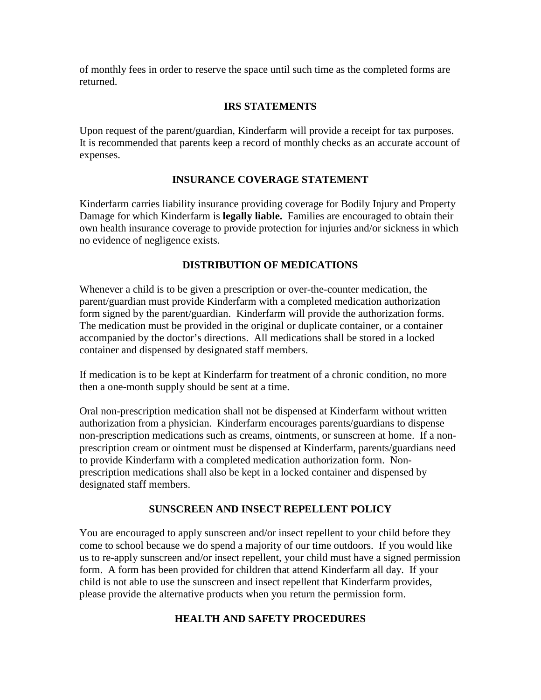of monthly fees in order to reserve the space until such time as the completed forms are returned.

# **IRS STATEMENTS**

Upon request of the parent/guardian, Kinderfarm will provide a receipt for tax purposes. It is recommended that parents keep a record of monthly checks as an accurate account of expenses.

# **INSURANCE COVERAGE STATEMENT**

Kinderfarm carries liability insurance providing coverage for Bodily Injury and Property Damage for which Kinderfarm is **legally liable.** Families are encouraged to obtain their own health insurance coverage to provide protection for injuries and/or sickness in which no evidence of negligence exists.

# **DISTRIBUTION OF MEDICATIONS**

Whenever a child is to be given a prescription or over-the-counter medication, the parent/guardian must provide Kinderfarm with a completed medication authorization form signed by the parent/guardian. Kinderfarm will provide the authorization forms. The medication must be provided in the original or duplicate container, or a container accompanied by the doctor's directions. All medications shall be stored in a locked container and dispensed by designated staff members.

If medication is to be kept at Kinderfarm for treatment of a chronic condition, no more then a one-month supply should be sent at a time.

Oral non-prescription medication shall not be dispensed at Kinderfarm without written authorization from a physician. Kinderfarm encourages parents/guardians to dispense non-prescription medications such as creams, ointments, or sunscreen at home. If a nonprescription cream or ointment must be dispensed at Kinderfarm, parents/guardians need to provide Kinderfarm with a completed medication authorization form. Nonprescription medications shall also be kept in a locked container and dispensed by designated staff members.

## **SUNSCREEN AND INSECT REPELLENT POLICY**

You are encouraged to apply sunscreen and/or insect repellent to your child before they come to school because we do spend a majority of our time outdoors. If you would like us to re-apply sunscreen and/or insect repellent, your child must have a signed permission form. A form has been provided for children that attend Kinderfarm all day. If your child is not able to use the sunscreen and insect repellent that Kinderfarm provides, please provide the alternative products when you return the permission form.

## **HEALTH AND SAFETY PROCEDURES**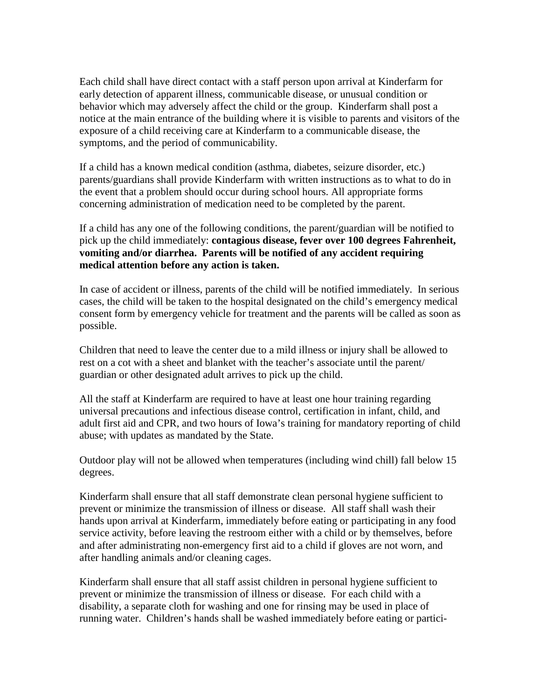Each child shall have direct contact with a staff person upon arrival at Kinderfarm for early detection of apparent illness, communicable disease, or unusual condition or behavior which may adversely affect the child or the group. Kinderfarm shall post a notice at the main entrance of the building where it is visible to parents and visitors of the exposure of a child receiving care at Kinderfarm to a communicable disease, the symptoms, and the period of communicability.

If a child has a known medical condition (asthma, diabetes, seizure disorder, etc.) parents/guardians shall provide Kinderfarm with written instructions as to what to do in the event that a problem should occur during school hours. All appropriate forms concerning administration of medication need to be completed by the parent.

If a child has any one of the following conditions, the parent/guardian will be notified to pick up the child immediately: **contagious disease, fever over 100 degrees Fahrenheit, vomiting and/or diarrhea. Parents will be notified of any accident requiring medical attention before any action is taken.**

In case of accident or illness, parents of the child will be notified immediately. In serious cases, the child will be taken to the hospital designated on the child's emergency medical consent form by emergency vehicle for treatment and the parents will be called as soon as possible.

Children that need to leave the center due to a mild illness or injury shall be allowed to rest on a cot with a sheet and blanket with the teacher's associate until the parent/ guardian or other designated adult arrives to pick up the child.

All the staff at Kinderfarm are required to have at least one hour training regarding universal precautions and infectious disease control, certification in infant, child, and adult first aid and CPR, and two hours of Iowa's training for mandatory reporting of child abuse; with updates as mandated by the State.

Outdoor play will not be allowed when temperatures (including wind chill) fall below 15 degrees.

Kinderfarm shall ensure that all staff demonstrate clean personal hygiene sufficient to prevent or minimize the transmission of illness or disease. All staff shall wash their hands upon arrival at Kinderfarm, immediately before eating or participating in any food service activity, before leaving the restroom either with a child or by themselves, before and after administrating non-emergency first aid to a child if gloves are not worn, and after handling animals and/or cleaning cages.

Kinderfarm shall ensure that all staff assist children in personal hygiene sufficient to prevent or minimize the transmission of illness or disease. For each child with a disability, a separate cloth for washing and one for rinsing may be used in place of running water. Children's hands shall be washed immediately before eating or partici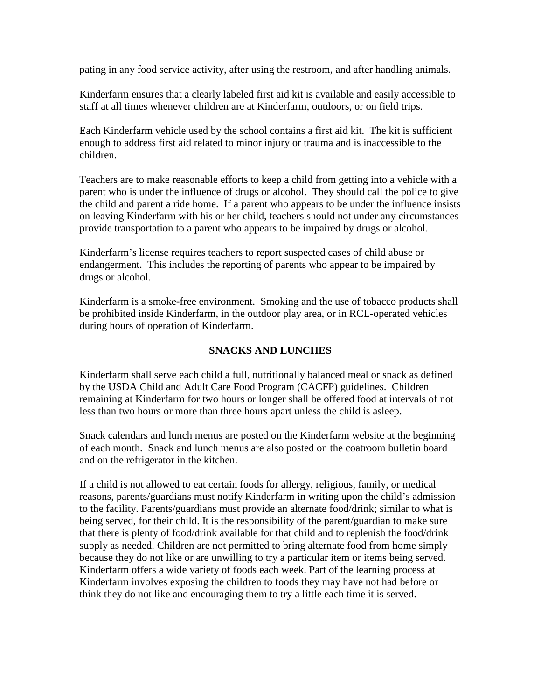pating in any food service activity, after using the restroom, and after handling animals.

Kinderfarm ensures that a clearly labeled first aid kit is available and easily accessible to staff at all times whenever children are at Kinderfarm, outdoors, or on field trips.

Each Kinderfarm vehicle used by the school contains a first aid kit. The kit is sufficient enough to address first aid related to minor injury or trauma and is inaccessible to the children.

Teachers are to make reasonable efforts to keep a child from getting into a vehicle with a parent who is under the influence of drugs or alcohol. They should call the police to give the child and parent a ride home. If a parent who appears to be under the influence insists on leaving Kinderfarm with his or her child, teachers should not under any circumstances provide transportation to a parent who appears to be impaired by drugs or alcohol.

Kinderfarm's license requires teachers to report suspected cases of child abuse or endangerment. This includes the reporting of parents who appear to be impaired by drugs or alcohol.

Kinderfarm is a smoke-free environment. Smoking and the use of tobacco products shall be prohibited inside Kinderfarm, in the outdoor play area, or in RCL-operated vehicles during hours of operation of Kinderfarm.

## **SNACKS AND LUNCHES**

Kinderfarm shall serve each child a full, nutritionally balanced meal or snack as defined by the USDA Child and Adult Care Food Program (CACFP) guidelines. Children remaining at Kinderfarm for two hours or longer shall be offered food at intervals of not less than two hours or more than three hours apart unless the child is asleep.

Snack calendars and lunch menus are posted on the Kinderfarm website at the beginning of each month. Snack and lunch menus are also posted on the coatroom bulletin board and on the refrigerator in the kitchen.

If a child is not allowed to eat certain foods for allergy, religious, family, or medical reasons, parents/guardians must notify Kinderfarm in writing upon the child's admission to the facility. Parents/guardians must provide an alternate food/drink; similar to what is being served, for their child. It is the responsibility of the parent/guardian to make sure that there is plenty of food/drink available for that child and to replenish the food/drink supply as needed. Children are not permitted to bring alternate food from home simply because they do not like or are unwilling to try a particular item or items being served. Kinderfarm offers a wide variety of foods each week. Part of the learning process at Kinderfarm involves exposing the children to foods they may have not had before or think they do not like and encouraging them to try a little each time it is served.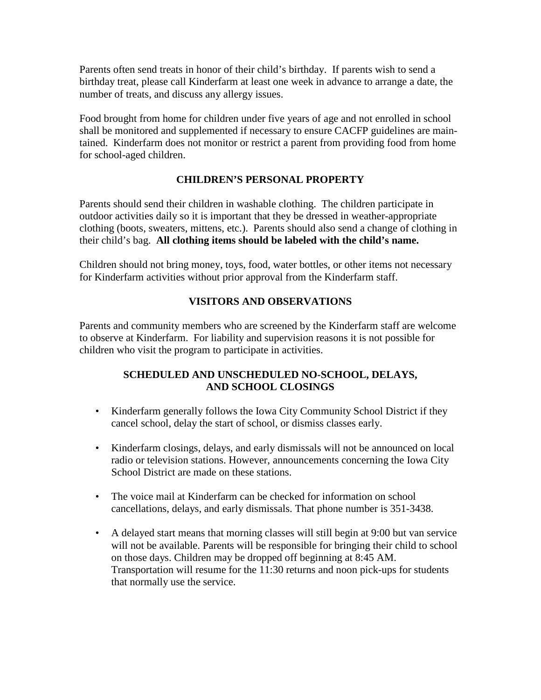Parents often send treats in honor of their child's birthday. If parents wish to send a birthday treat, please call Kinderfarm at least one week in advance to arrange a date, the number of treats, and discuss any allergy issues.

Food brought from home for children under five years of age and not enrolled in school shall be monitored and supplemented if necessary to ensure CACFP guidelines are maintained. Kinderfarm does not monitor or restrict a parent from providing food from home for school-aged children.

## **CHILDREN'S PERSONAL PROPERTY**

Parents should send their children in washable clothing. The children participate in outdoor activities daily so it is important that they be dressed in weather-appropriate clothing (boots, sweaters, mittens, etc.). Parents should also send a change of clothing in their child's bag. **All clothing items should be labeled with the child's name.**

Children should not bring money, toys, food, water bottles, or other items not necessary for Kinderfarm activities without prior approval from the Kinderfarm staff.

# **VISITORS AND OBSERVATIONS**

Parents and community members who are screened by the Kinderfarm staff are welcome to observe at Kinderfarm. For liability and supervision reasons it is not possible for children who visit the program to participate in activities.

## **SCHEDULED AND UNSCHEDULED NO-SCHOOL, DELAYS, AND SCHOOL CLOSINGS**

- Kinderfarm generally follows the Iowa City Community School District if they cancel school, delay the start of school, or dismiss classes early.
- Kinderfarm closings, delays, and early dismissals will not be announced on local radio or television stations. However, announcements concerning the Iowa City School District are made on these stations.
- The voice mail at Kinderfarm can be checked for information on school cancellations, delays, and early dismissals. That phone number is 351-3438.
- A delayed start means that morning classes will still begin at 9:00 but van service will not be available. Parents will be responsible for bringing their child to school on those days. Children may be dropped off beginning at 8:45 AM. Transportation will resume for the 11:30 returns and noon pick-ups for students that normally use the service.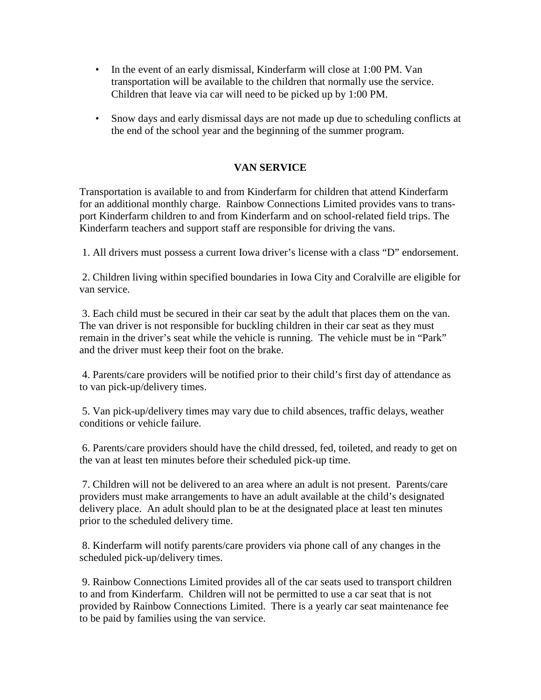- In the event of an early dismissal, Kinderfarm will close at 1:00 PM. Van transportation will be available to the children that normally use the service. Children that leave via car will need to be picked up by 1:00 PM.
- Snow days and early dismissal days are not made up due to scheduling conflicts at the end of the school year and the beginning of the summer program.

# **VAN SERVICE**

Transportation is available to and from Kinderfarm for children that attend Kinderfarm for an additional monthly charge. Rainbow Connections Limited provides vans to transport Kinderfarm children to and from Kinderfarm and on school-related field trips. The Kinderfarm teachers and support staff are responsible for driving the vans.

1. All drivers must possess a current Iowa driver's license with a class "D" endorsement.

2. Children living within specified boundaries in Iowa City and Coralville are eligible for van service.

3. Each child must be secured in their car seat by the adult that places them on the van. The van driver is not responsible for buckling children in their car seat as they must remain in the driver's seat while the vehicle is running. The vehicle must be in "Park" and the driver must keep their foot on the brake.

4. Parents/care providers will be notified prior to their child's first day of attendance as to van pick-up/delivery times.

5. Van pick-up/delivery times may vary due to child absences, traffic delays, weather conditions or vehicle failure.

6. Parents/care providers should have the child dressed, fed, toileted, and ready to get on the van at least ten minutes before their scheduled pick-up time.

7. Children will not be delivered to an area where an adult is not present. Parents/care providers must make arrangements to have an adult available at the child's designated delivery place. An adult should plan to be at the designated place at least ten minutes prior to the scheduled delivery time.

8. Kinderfarm will notify parents/care providers via phone call of any changes in the scheduled pick-up/delivery times.

9. Rainbow Connections Limited provides all of the car seats used to transport children to and from Kinderfarm. Children will not be permitted to use a car seat that is not provided by Rainbow Connections Limited. There is a yearly car seat maintenance fee to be paid by families using the van service.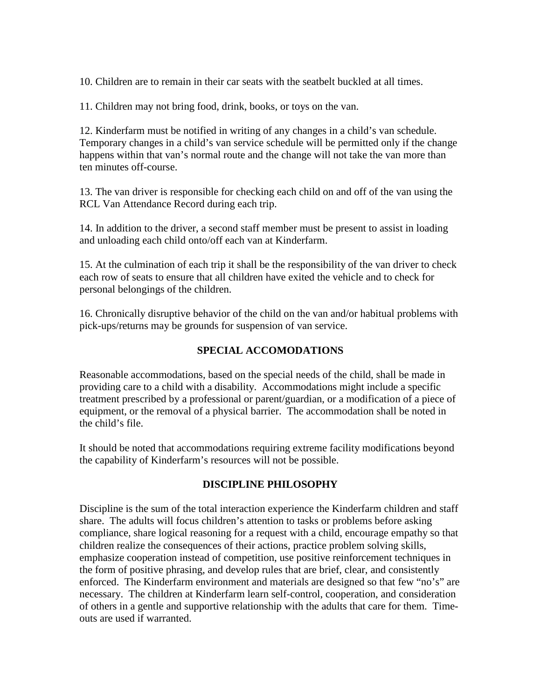10. Children are to remain in their car seats with the seatbelt buckled at all times.

11. Children may not bring food, drink, books, or toys on the van.

12. Kinderfarm must be notified in writing of any changes in a child's van schedule. Temporary changes in a child's van service schedule will be permitted only if the change happens within that van's normal route and the change will not take the van more than ten minutes off-course.

13. The van driver is responsible for checking each child on and off of the van using the RCL Van Attendance Record during each trip.

14. In addition to the driver, a second staff member must be present to assist in loading and unloading each child onto/off each van at Kinderfarm.

15. At the culmination of each trip it shall be the responsibility of the van driver to check each row of seats to ensure that all children have exited the vehicle and to check for personal belongings of the children.

16. Chronically disruptive behavior of the child on the van and/or habitual problems with pick-ups/returns may be grounds for suspension of van service.

## **SPECIAL ACCOMODATIONS**

Reasonable accommodations, based on the special needs of the child, shall be made in providing care to a child with a disability. Accommodations might include a specific treatment prescribed by a professional or parent/guardian, or a modification of a piece of equipment, or the removal of a physical barrier. The accommodation shall be noted in the child's file.

It should be noted that accommodations requiring extreme facility modifications beyond the capability of Kinderfarm's resources will not be possible.

## **DISCIPLINE PHILOSOPHY**

Discipline is the sum of the total interaction experience the Kinderfarm children and staff share. The adults will focus children's attention to tasks or problems before asking compliance, share logical reasoning for a request with a child, encourage empathy so that children realize the consequences of their actions, practice problem solving skills, emphasize cooperation instead of competition, use positive reinforcement techniques in the form of positive phrasing, and develop rules that are brief, clear, and consistently enforced. The Kinderfarm environment and materials are designed so that few "no's" are necessary. The children at Kinderfarm learn self-control, cooperation, and consideration of others in a gentle and supportive relationship with the adults that care for them. Timeouts are used if warranted.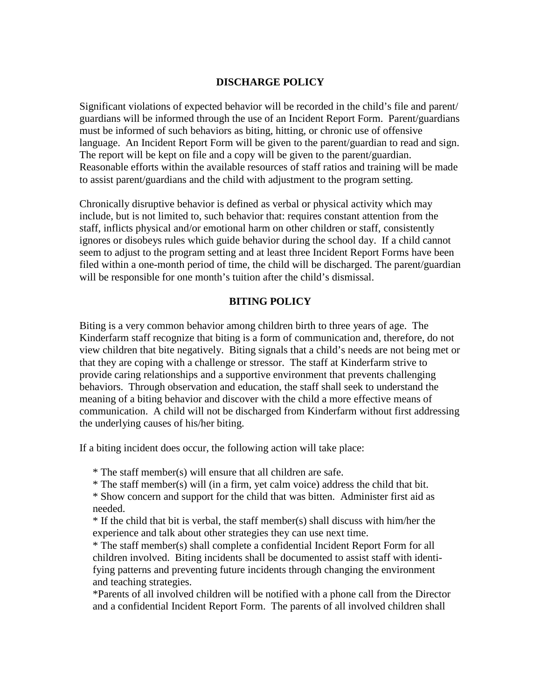#### **DISCHARGE POLICY**

Significant violations of expected behavior will be recorded in the child's file and parent/ guardians will be informed through the use of an Incident Report Form. Parent/guardians must be informed of such behaviors as biting, hitting, or chronic use of offensive language. An Incident Report Form will be given to the parent/guardian to read and sign. The report will be kept on file and a copy will be given to the parent/guardian. Reasonable efforts within the available resources of staff ratios and training will be made to assist parent/guardians and the child with adjustment to the program setting.

Chronically disruptive behavior is defined as verbal or physical activity which may include, but is not limited to, such behavior that: requires constant attention from the staff, inflicts physical and/or emotional harm on other children or staff, consistently ignores or disobeys rules which guide behavior during the school day. If a child cannot seem to adjust to the program setting and at least three Incident Report Forms have been filed within a one-month period of time, the child will be discharged. The parent/guardian will be responsible for one month's tuition after the child's dismissal.

#### **BITING POLICY**

Biting is a very common behavior among children birth to three years of age. The Kinderfarm staff recognize that biting is a form of communication and, therefore, do not view children that bite negatively. Biting signals that a child's needs are not being met or that they are coping with a challenge or stressor. The staff at Kinderfarm strive to provide caring relationships and a supportive environment that prevents challenging behaviors. Through observation and education, the staff shall seek to understand the meaning of a biting behavior and discover with the child a more effective means of communication. A child will not be discharged from Kinderfarm without first addressing the underlying causes of his/her biting.

If a biting incident does occur, the following action will take place:

\* The staff member(s) will ensure that all children are safe.

\* The staff member(s) will (in a firm, yet calm voice) address the child that bit.

 \* Show concern and support for the child that was bitten. Administer first aid as needed.

 \* If the child that bit is verbal, the staff member(s) shall discuss with him/her the experience and talk about other strategies they can use next time.

\* The staff member(s) shall complete a confidential Incident Report Form for all children involved. Biting incidents shall be documented to assist staff with identifying patterns and preventing future incidents through changing the environment and teaching strategies.

\*Parents of all involved children will be notified with a phone call from the Director and a confidential Incident Report Form. The parents of all involved children shall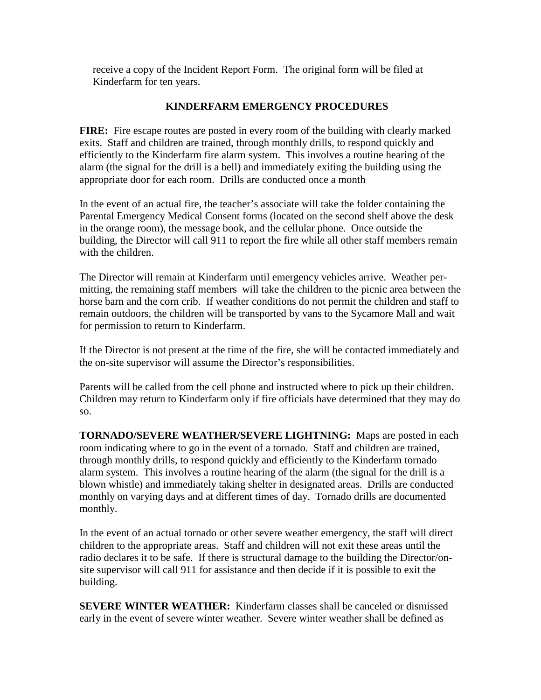receive a copy of the Incident Report Form. The original form will be filed at Kinderfarm for ten years.

## **KINDERFARM EMERGENCY PROCEDURES**

**FIRE:** Fire escape routes are posted in every room of the building with clearly marked exits. Staff and children are trained, through monthly drills, to respond quickly and efficiently to the Kinderfarm fire alarm system. This involves a routine hearing of the alarm (the signal for the drill is a bell) and immediately exiting the building using the appropriate door for each room. Drills are conducted once a month

In the event of an actual fire, the teacher's associate will take the folder containing the Parental Emergency Medical Consent forms (located on the second shelf above the desk in the orange room), the message book, and the cellular phone. Once outside the building, the Director will call 911 to report the fire while all other staff members remain with the children.

The Director will remain at Kinderfarm until emergency vehicles arrive. Weather permitting, the remaining staff members will take the children to the picnic area between the horse barn and the corn crib. If weather conditions do not permit the children and staff to remain outdoors, the children will be transported by vans to the Sycamore Mall and wait for permission to return to Kinderfarm.

If the Director is not present at the time of the fire, she will be contacted immediately and the on-site supervisor will assume the Director's responsibilities.

Parents will be called from the cell phone and instructed where to pick up their children. Children may return to Kinderfarm only if fire officials have determined that they may do so.

**TORNADO/SEVERE WEATHER/SEVERE LIGHTNING:** Maps are posted in each room indicating where to go in the event of a tornado. Staff and children are trained, through monthly drills, to respond quickly and efficiently to the Kinderfarm tornado alarm system. This involves a routine hearing of the alarm (the signal for the drill is a blown whistle) and immediately taking shelter in designated areas. Drills are conducted monthly on varying days and at different times of day. Tornado drills are documented monthly.

In the event of an actual tornado or other severe weather emergency, the staff will direct children to the appropriate areas. Staff and children will not exit these areas until the radio declares it to be safe. If there is structural damage to the building the Director/onsite supervisor will call 911 for assistance and then decide if it is possible to exit the building.

**SEVERE WINTER WEATHER:** Kinderfarm classes shall be canceled or dismissed early in the event of severe winter weather. Severe winter weather shall be defined as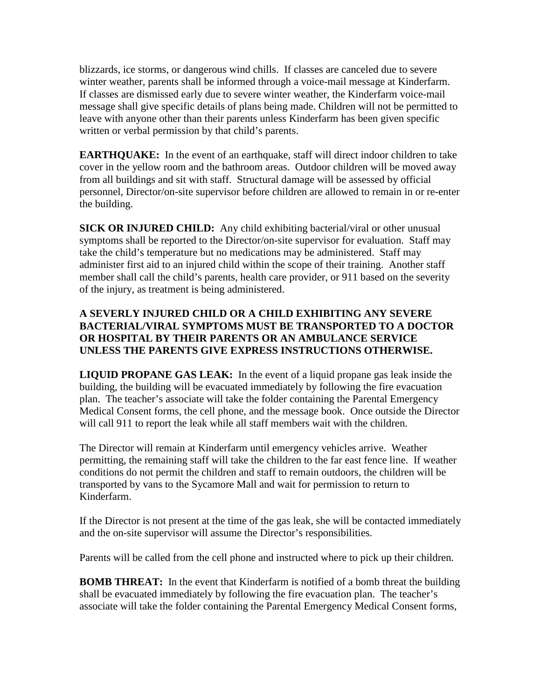blizzards, ice storms, or dangerous wind chills. If classes are canceled due to severe winter weather, parents shall be informed through a voice-mail message at Kinderfarm. If classes are dismissed early due to severe winter weather, the Kinderfarm voice-mail message shall give specific details of plans being made. Children will not be permitted to leave with anyone other than their parents unless Kinderfarm has been given specific written or verbal permission by that child's parents.

**EARTHQUAKE:** In the event of an earthquake, staff will direct indoor children to take cover in the yellow room and the bathroom areas. Outdoor children will be moved away from all buildings and sit with staff. Structural damage will be assessed by official personnel, Director/on-site supervisor before children are allowed to remain in or re-enter the building.

**SICK OR INJURED CHILD:** Any child exhibiting bacterial/viral or other unusual symptoms shall be reported to the Director/on-site supervisor for evaluation. Staff may take the child's temperature but no medications may be administered. Staff may administer first aid to an injured child within the scope of their training. Another staff member shall call the child's parents, health care provider, or 911 based on the severity of the injury, as treatment is being administered.

## **A SEVERLY INJURED CHILD OR A CHILD EXHIBITING ANY SEVERE BACTERIAL/VIRAL SYMPTOMS MUST BE TRANSPORTED TO A DOCTOR OR HOSPITAL BY THEIR PARENTS OR AN AMBULANCE SERVICE UNLESS THE PARENTS GIVE EXPRESS INSTRUCTIONS OTHERWISE.**

**LIQUID PROPANE GAS LEAK:** In the event of a liquid propane gas leak inside the building, the building will be evacuated immediately by following the fire evacuation plan. The teacher's associate will take the folder containing the Parental Emergency Medical Consent forms, the cell phone, and the message book. Once outside the Director will call 911 to report the leak while all staff members wait with the children.

The Director will remain at Kinderfarm until emergency vehicles arrive. Weather permitting, the remaining staff will take the children to the far east fence line. If weather conditions do not permit the children and staff to remain outdoors, the children will be transported by vans to the Sycamore Mall and wait for permission to return to Kinderfarm.

If the Director is not present at the time of the gas leak, she will be contacted immediately and the on-site supervisor will assume the Director's responsibilities.

Parents will be called from the cell phone and instructed where to pick up their children.

**BOMB THREAT:** In the event that Kinderfarm is notified of a bomb threat the building shall be evacuated immediately by following the fire evacuation plan. The teacher's associate will take the folder containing the Parental Emergency Medical Consent forms,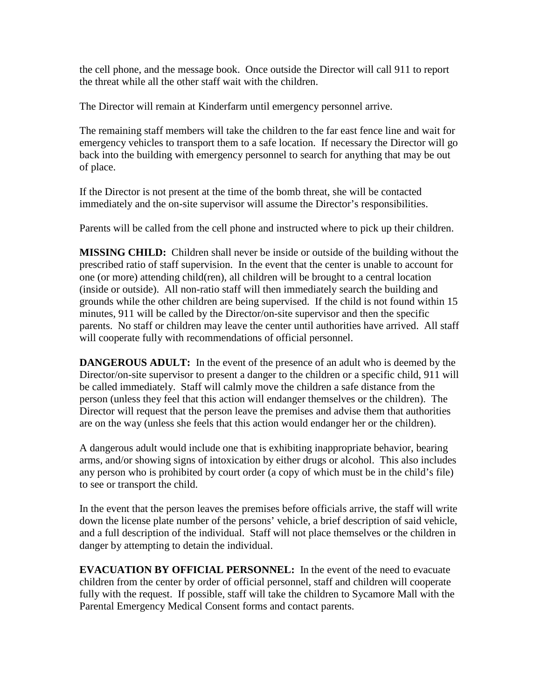the cell phone, and the message book. Once outside the Director will call 911 to report the threat while all the other staff wait with the children.

The Director will remain at Kinderfarm until emergency personnel arrive.

The remaining staff members will take the children to the far east fence line and wait for emergency vehicles to transport them to a safe location. If necessary the Director will go back into the building with emergency personnel to search for anything that may be out of place.

If the Director is not present at the time of the bomb threat, she will be contacted immediately and the on-site supervisor will assume the Director's responsibilities.

Parents will be called from the cell phone and instructed where to pick up their children.

**MISSING CHILD:** Children shall never be inside or outside of the building without the prescribed ratio of staff supervision. In the event that the center is unable to account for one (or more) attending child(ren), all children will be brought to a central location (inside or outside). All non-ratio staff will then immediately search the building and grounds while the other children are being supervised. If the child is not found within 15 minutes, 911 will be called by the Director/on-site supervisor and then the specific parents. No staff or children may leave the center until authorities have arrived. All staff will cooperate fully with recommendations of official personnel.

**DANGEROUS ADULT:** In the event of the presence of an adult who is deemed by the Director/on-site supervisor to present a danger to the children or a specific child, 911 will be called immediately. Staff will calmly move the children a safe distance from the person (unless they feel that this action will endanger themselves or the children). The Director will request that the person leave the premises and advise them that authorities are on the way (unless she feels that this action would endanger her or the children).

A dangerous adult would include one that is exhibiting inappropriate behavior, bearing arms, and/or showing signs of intoxication by either drugs or alcohol. This also includes any person who is prohibited by court order (a copy of which must be in the child's file) to see or transport the child.

In the event that the person leaves the premises before officials arrive, the staff will write down the license plate number of the persons' vehicle, a brief description of said vehicle, and a full description of the individual. Staff will not place themselves or the children in danger by attempting to detain the individual.

**EVACUATION BY OFFICIAL PERSONNEL:** In the event of the need to evacuate children from the center by order of official personnel, staff and children will cooperate fully with the request. If possible, staff will take the children to Sycamore Mall with the Parental Emergency Medical Consent forms and contact parents.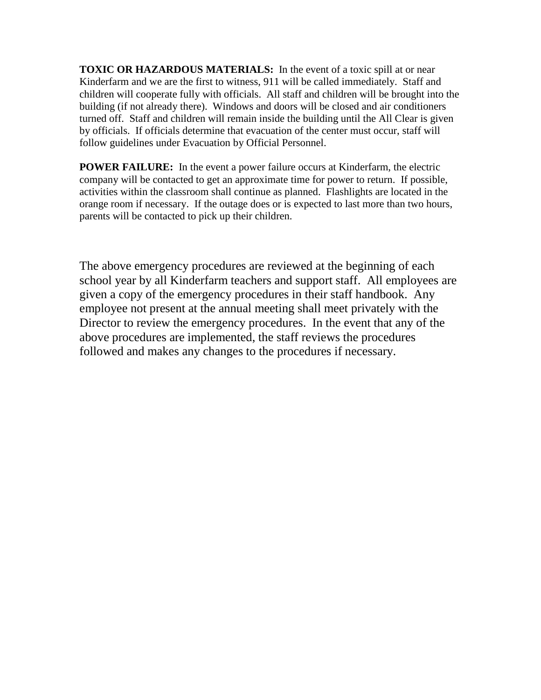**TOXIC OR HAZARDOUS MATERIALS:** In the event of a toxic spill at or near Kinderfarm and we are the first to witness, 911 will be called immediately. Staff and children will cooperate fully with officials. All staff and children will be brought into the building (if not already there). Windows and doors will be closed and air conditioners turned off. Staff and children will remain inside the building until the All Clear is given by officials. If officials determine that evacuation of the center must occur, staff will follow guidelines under Evacuation by Official Personnel.

**POWER FAILURE:** In the event a power failure occurs at Kinderfarm, the electric company will be contacted to get an approximate time for power to return. If possible, activities within the classroom shall continue as planned. Flashlights are located in the orange room if necessary. If the outage does or is expected to last more than two hours, parents will be contacted to pick up their children.

The above emergency procedures are reviewed at the beginning of each school year by all Kinderfarm teachers and support staff. All employees are given a copy of the emergency procedures in their staff handbook. Any employee not present at the annual meeting shall meet privately with the Director to review the emergency procedures. In the event that any of the above procedures are implemented, the staff reviews the procedures followed and makes any changes to the procedures if necessary.